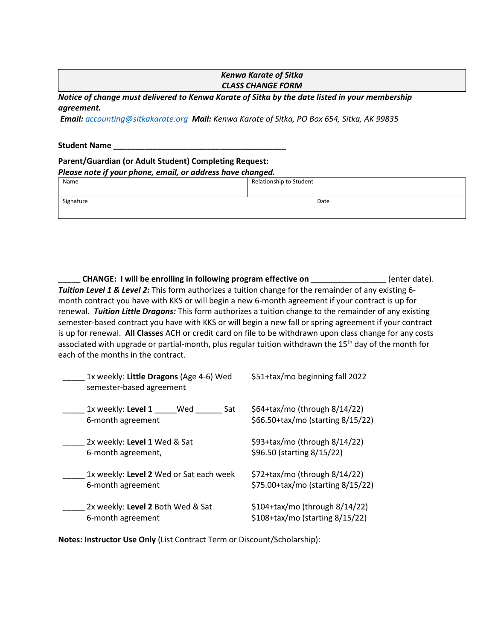## *Kenwa Karate of Sitka CLASS CHANGE FORM*

*Notice of change must delivered to Kenwa Karate of Sitka by the date listed in your membership agreement.* 

*Email: [accounting@sitkakarate.org](mailto:accounting@sitkakarate.org) Mail: Kenwa Karate of Sitka, PO Box 654, Sitka, AK 99835*

#### **Student Name \_\_\_\_\_\_\_\_\_\_\_\_\_\_\_\_\_\_\_\_\_\_\_\_\_\_\_\_\_\_\_\_\_\_\_\_\_\_\_**

# **Parent/Guardian (or Adult Student) Completing Request:**

| Please note if your phone, email, or address have changed. |  |  |
|------------------------------------------------------------|--|--|
|                                                            |  |  |

| Name      | Relationship to Student |      |
|-----------|-------------------------|------|
| Signature |                         | Date |

**\_\_\_\_\_ CHANGE: I will be enrolling in following program effective on \_\_\_\_\_\_\_\_\_\_\_\_\_\_\_\_\_** (enter date). *Tuition Level 1 & Level 2:* This form authorizes a tuition change for the remainder of any existing 6 month contract you have with KKS or will begin a new 6-month agreement if your contract is up for renewal. *Tuition Little Dragons:* This form authorizes a tuition change to the remainder of any existing semester-based contract you have with KKS or will begin a new fall or spring agreement if your contract is up for renewal. **All Classes** ACH or credit card on file to be withdrawn upon class change for any costs associated with upgrade or partial-month, plus regular tuition withdrawn the 15<sup>th</sup> day of the month for each of the months in the contract.

| 1x weekly: Little Dragons (Age 4-6) Wed<br>semester-based agreement | \$51+tax/mo beginning fall 2022                                    |
|---------------------------------------------------------------------|--------------------------------------------------------------------|
| 1x weekly: Level 1<br>Wed<br>Sat<br>6-month agreement               | \$64+tax/mo (through 8/14/22)<br>\$66.50+tax/mo (starting 8/15/22) |
| 2x weekly: Level 1 Wed & Sat                                        | \$93+tax/mo (through 8/14/22)                                      |
| 6-month agreement,                                                  | \$96.50 (starting 8/15/22)                                         |
| 1x weekly: Level 2 Wed or Sat each week                             | \$72+tax/mo (through 8/14/22)                                      |
| 6-month agreement                                                   | \$75.00+tax/mo (starting 8/15/22)                                  |
| 2x weekly: Level 2 Both Wed & Sat                                   | $$104+tax/mol$ (through 8/14/22)                                   |
| 6-month agreement                                                   | \$108+tax/mo (starting 8/15/22)                                    |

**Notes: Instructor Use Only** (List Contract Term or Discount/Scholarship):